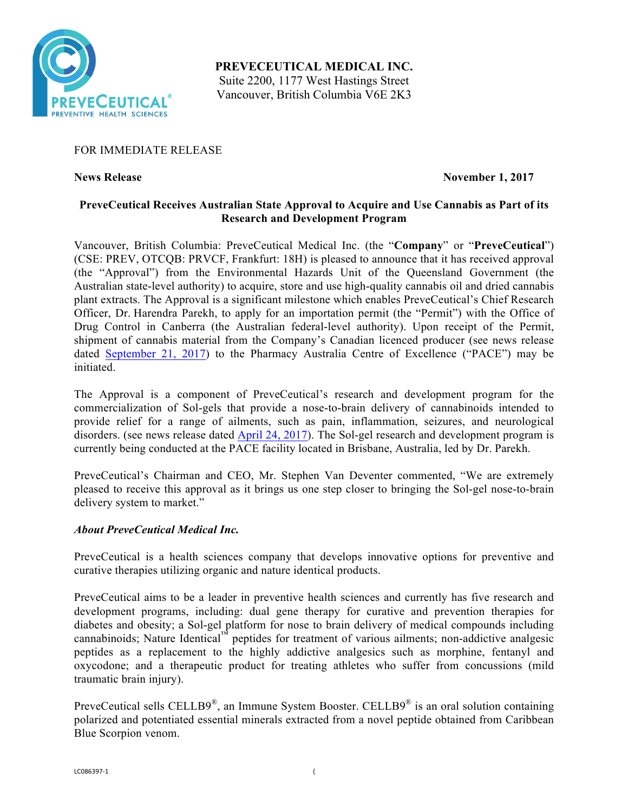

**PREVECEUTICAL MEDICAL INC.** Suite 2200, 1177 West Hastings Street Vancouver, British Columbia V6E 2K3

## FOR IMMEDIATE RELEASE

**News Release November 1, 2017** 

## **PreveCeutical Receives Australian State Approval to Acquire and Use Cannabis as Part of its Research and Development Program**

Vancouver, British Columbia: PreveCeutical Medical Inc. (the "**Company**" or "**PreveCeutical**") (CSE: PREV, OTCQB: PRVCF, Frankfurt: 18H) is pleased to announce that it has received approval (the "Approval") from the Environmental Hazards Unit of the Queensland Government (the Australian state-level authority) to acquire, store and use high-quality cannabis oil and dried cannabis plant extracts. The Approval is a significant milestone which enables PreveCeutical's Chief Research Officer, Dr. Harendra Parekh, to apply for an importation permit (the "Permit") with the Office of Drug Control in Canberra (the Australian federal-level authority). Upon receipt of the Permit, shipment of cannabis material from the Company's Canadian licenced producer (see news release dated September 21, 2017) to the Pharmacy Australia Centre of Excellence ("PACE") may be initiated.

The Approval is a component of PreveCeutical's research and development program for the commercialization of Sol-gels that provide a nose-to-brain delivery of cannabinoids intended to provide relief for a range of ailments, such as pain, inflammation, seizures, and neurological disorders. (see news release dated April 24, 2017). The Sol-gel research and development program is currently being conducted at the PACE facility located in Brisbane, Australia, led by Dr. Parekh.

PreveCeutical's Chairman and CEO, Mr. Stephen Van Deventer commented, "We are extremely pleased to receive this approval as it brings us one step closer to bringing the Sol-gel nose-to-brain delivery system to market."

# *About PreveCeutical Medical Inc.*

PreveCeutical is a health sciences company that develops innovative options for preventive and curative therapies utilizing organic and nature identical products.

PreveCeutical aims to be a leader in preventive health sciences and currently has five research and development programs, including: dual gene therapy for curative and prevention therapies for diabetes and obesity; a Sol-gel platform for nose to brain delivery of medical compounds including cannabinoids; Nature Identical™ peptides for treatment of various ailments; non-addictive analgesic peptides as a replacement to the highly addictive analgesics such as morphine, fentanyl and oxycodone; and a therapeutic product for treating athletes who suffer from concussions (mild traumatic brain injury).

PreveCeutical sells CELLB9<sup>®</sup>, an Immune System Booster. CELLB9<sup>®</sup> is an oral solution containing polarized and potentiated essential minerals extracted from a novel peptide obtained from Caribbean Blue Scorpion venom.